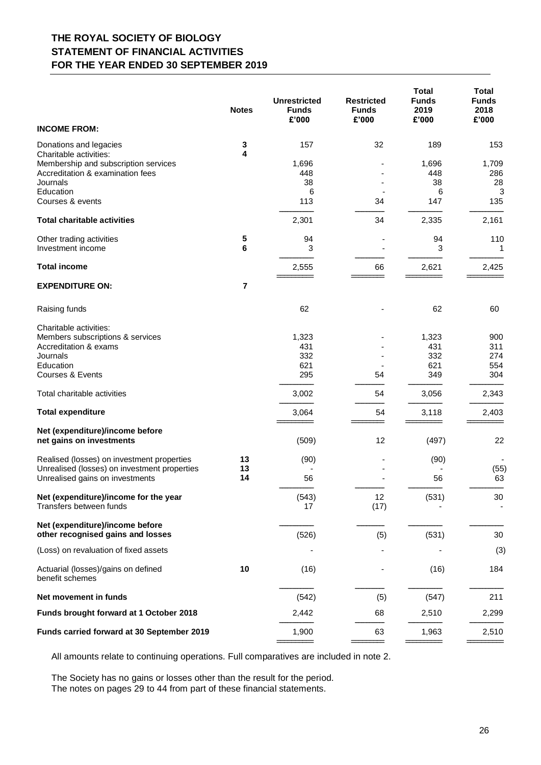## **THE ROYAL SOCIETY OF BIOLOGY STATEMENT OF FINANCIAL ACTIVITIES FOR THE YEAR ENDED 30 SEPTEMBER 2019**

|                                                                                 | <b>Notes</b>   | <b>Unrestricted</b><br><b>Funds</b><br>£'000 | <b>Restricted</b><br><b>Funds</b><br>£'000 | <b>Total</b><br><b>Funds</b><br>2019<br>£'000 | <b>Total</b><br><b>Funds</b><br>2018<br>£'000 |
|---------------------------------------------------------------------------------|----------------|----------------------------------------------|--------------------------------------------|-----------------------------------------------|-----------------------------------------------|
| <b>INCOME FROM:</b>                                                             |                |                                              |                                            |                                               |                                               |
| Donations and legacies<br>Charitable activities:                                | 3<br>4         | 157                                          | 32                                         | 189                                           | 153                                           |
| Membership and subscription services<br>Accreditation & examination fees        |                | 1,696<br>448                                 |                                            | 1,696<br>448                                  | 1,709<br>286                                  |
| Journals                                                                        |                | 38                                           |                                            | 38                                            | 28                                            |
| Education<br>Courses & events                                                   |                | 6<br>113                                     | 34                                         | 6<br>147                                      | 3<br>135                                      |
| <b>Total charitable activities</b>                                              |                | 2,301                                        | 34                                         | 2,335                                         | 2,161                                         |
| Other trading activities                                                        | 5              | 94                                           |                                            | 94                                            | 110                                           |
| Investment income                                                               | 6              | 3                                            |                                            | 3                                             | 1                                             |
| <b>Total income</b>                                                             |                | 2,555                                        | 66                                         | 2,621                                         | 2,425                                         |
| <b>EXPENDITURE ON:</b>                                                          | $\overline{7}$ |                                              |                                            |                                               |                                               |
| Raising funds                                                                   |                | 62                                           |                                            | 62                                            | 60                                            |
| Charitable activities:                                                          |                |                                              |                                            |                                               |                                               |
| Members subscriptions & services<br>Accreditation & exams                       |                | 1,323<br>431                                 |                                            | 1,323<br>431                                  | 900<br>311                                    |
| Journals                                                                        |                | 332                                          |                                            | 332                                           | 274                                           |
| Education                                                                       |                | 621                                          |                                            | 621                                           | 554                                           |
| Courses & Events                                                                |                | 295                                          | 54                                         | 349                                           | 304                                           |
| Total charitable activities                                                     |                | 3,002                                        | 54                                         | 3,056                                         | 2,343                                         |
| <b>Total expenditure</b>                                                        |                | 3,064                                        | 54                                         | 3,118                                         | 2,403                                         |
| Net (expenditure)/income before<br>net gains on investments                     |                | (509)                                        | 12                                         | (497)                                         | 22                                            |
| Realised (losses) on investment properties                                      | 13             | (90)                                         |                                            | (90)                                          |                                               |
| Unrealised (losses) on investment properties<br>Unrealised gains on investments | 13<br>14       | 56                                           |                                            | 56                                            | (55)<br>63                                    |
| Net (expenditure)/income for the year<br>Transfers between funds                |                | (543)<br>17                                  | 12<br>(17)                                 | (531)                                         | 30                                            |
| Net (expenditure)/income before<br>other recognised gains and losses            |                | (526)                                        | (5)                                        | (531)                                         | 30                                            |
| (Loss) on revaluation of fixed assets                                           |                |                                              |                                            |                                               | (3)                                           |
| Actuarial (losses)/gains on defined<br>benefit schemes                          | 10             | (16)                                         |                                            | (16)                                          | 184                                           |
| Net movement in funds                                                           |                | (542)                                        | (5)                                        | (547)                                         | 211                                           |
| Funds brought forward at 1 October 2018                                         |                | 2,442                                        | 68                                         | 2,510                                         | 2,299                                         |
| Funds carried forward at 30 September 2019                                      |                | 1,900                                        | 63                                         | 1,963                                         | 2,510                                         |

All amounts relate to continuing operations. Full comparatives are included in note 2.

The Society has no gains or losses other than the result for the period. The notes on pages 29 to 44 from part of these financial statements.